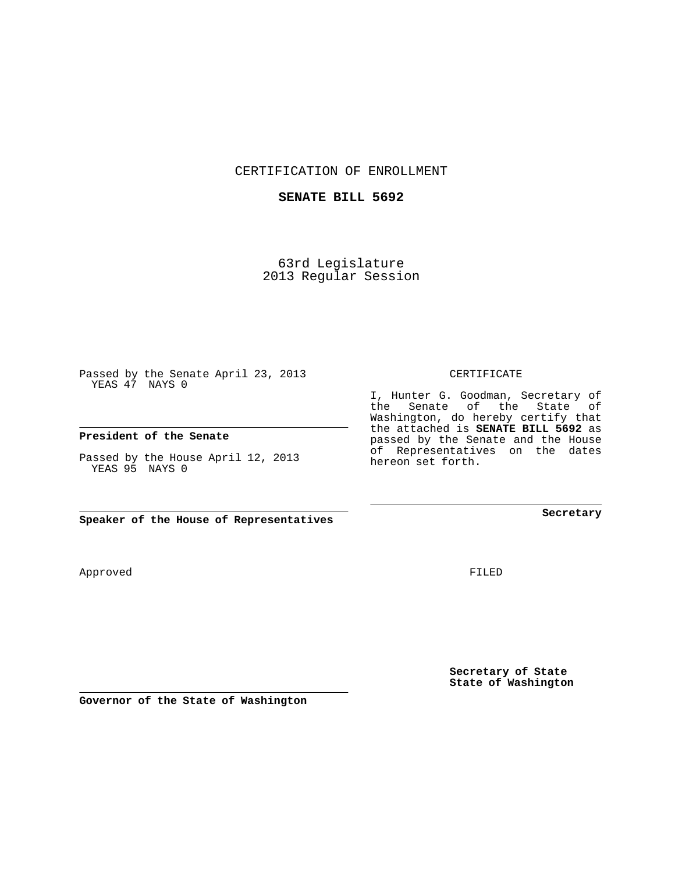CERTIFICATION OF ENROLLMENT

## **SENATE BILL 5692**

63rd Legislature 2013 Regular Session

Passed by the Senate April 23, 2013 YEAS 47 NAYS 0

**President of the Senate**

Passed by the House April 12, 2013 YEAS 95 NAYS 0

**Speaker of the House of Representatives**

Approved

FILED

**Secretary of State State of Washington**

**Secretary**

CERTIFICATE

I, Hunter G. Goodman, Secretary of the Senate of the State of Washington, do hereby certify that the attached is **SENATE BILL 5692** as passed by the Senate and the House of Representatives on the dates hereon set forth.

**Governor of the State of Washington**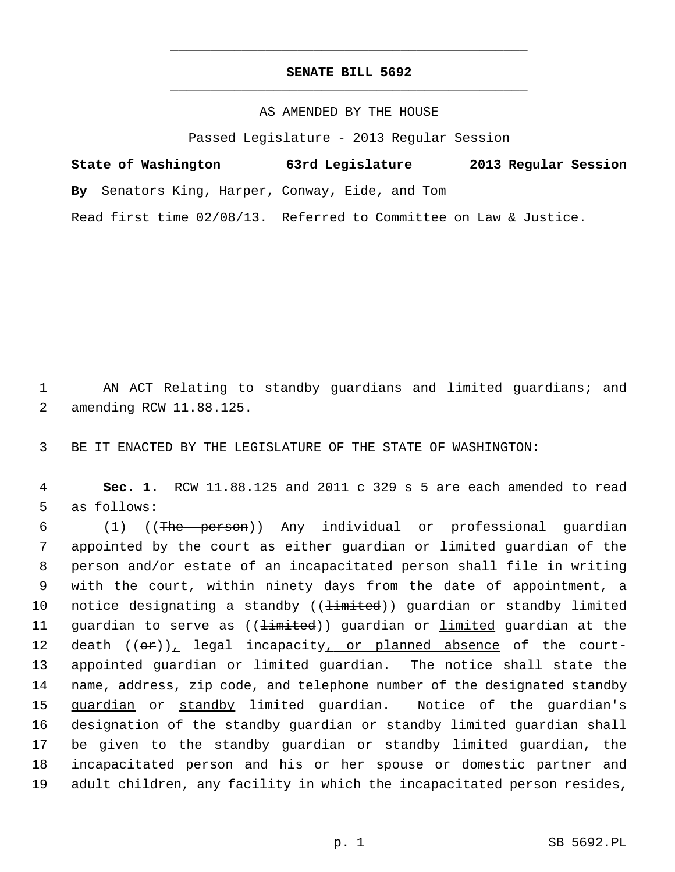## **SENATE BILL 5692** \_\_\_\_\_\_\_\_\_\_\_\_\_\_\_\_\_\_\_\_\_\_\_\_\_\_\_\_\_\_\_\_\_\_\_\_\_\_\_\_\_\_\_\_\_

\_\_\_\_\_\_\_\_\_\_\_\_\_\_\_\_\_\_\_\_\_\_\_\_\_\_\_\_\_\_\_\_\_\_\_\_\_\_\_\_\_\_\_\_\_

## AS AMENDED BY THE HOUSE

Passed Legislature - 2013 Regular Session

| State of Washington | 63rd Legislature |  |  |  | 2013 Regular Session |  |
|---------------------|------------------|--|--|--|----------------------|--|
|                     |                  |  |  |  |                      |  |

**By** Senators King, Harper, Conway, Eide, and Tom

Read first time 02/08/13. Referred to Committee on Law & Justice.

 1 AN ACT Relating to standby guardians and limited guardians; and 2 amending RCW 11.88.125.

3 BE IT ENACTED BY THE LEGISLATURE OF THE STATE OF WASHINGTON:

 4 **Sec. 1.** RCW 11.88.125 and 2011 c 329 s 5 are each amended to read 5 as follows:

 6 (1) ((The person)) Any individual or professional guardian 7 appointed by the court as either guardian or limited guardian of the 8 person and/or estate of an incapacitated person shall file in writing 9 with the court, within ninety days from the date of appointment, a 10 notice designating a standby ((<del>limited</del>)) guardian or standby limited 11 guardian to serve as ((<del>limited</del>)) guardian or *limited* guardian at the 12 death  $((\theta \cdot \hat{r}))_L$  legal incapacity, or planned absence of the court-13 appointed guardian or limited guardian. The notice shall state the 14 name, address, zip code, and telephone number of the designated standby 15 guardian or standby limited guardian. Notice of the guardian's 16 designation of the standby guardian or standby limited guardian shall 17 be given to the standby guardian or standby limited guardian, the 18 incapacitated person and his or her spouse or domestic partner and 19 adult children, any facility in which the incapacitated person resides,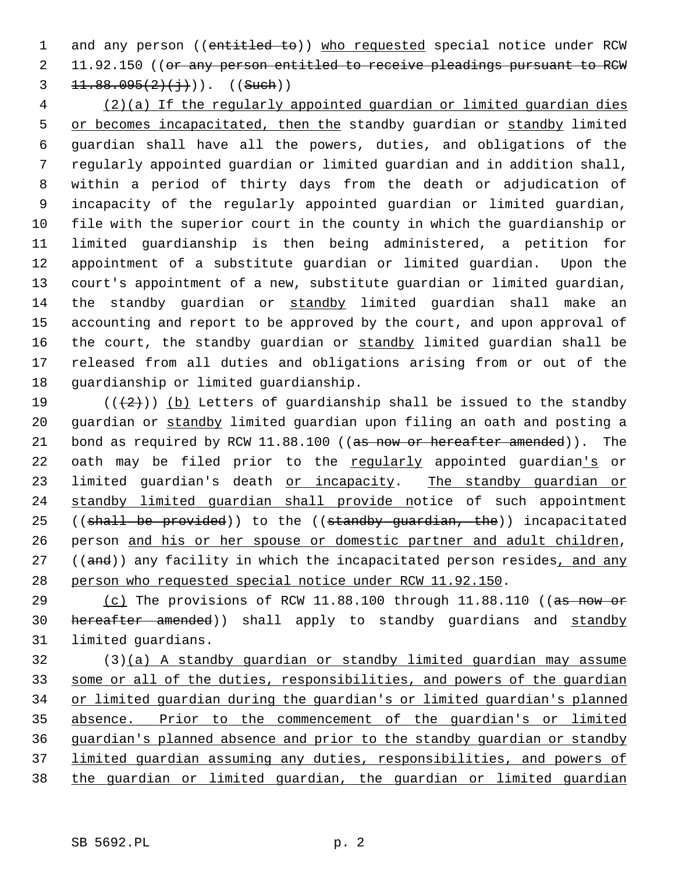1 and any person ((entitled to)) who requested special notice under RCW 2 11.92.150 ((or any person entitled to receive pleadings pursuant to RCW 3  $11.88.095(2)(j)$ ). ((Such))

 4 (2)(a) If the regularly appointed guardian or limited guardian dies 5 or becomes incapacitated, then the standby guardian or standby limited 6 guardian shall have all the powers, duties, and obligations of the 7 regularly appointed guardian or limited guardian and in addition shall, 8 within a period of thirty days from the death or adjudication of 9 incapacity of the regularly appointed guardian or limited guardian, 10 file with the superior court in the county in which the guardianship or 11 limited guardianship is then being administered, a petition for 12 appointment of a substitute guardian or limited guardian. Upon the 13 court's appointment of a new, substitute guardian or limited guardian, 14 the standby guardian or standby limited guardian shall make an 15 accounting and report to be approved by the court, and upon approval of 16 the court, the standby guardian or standby limited guardian shall be 17 released from all duties and obligations arising from or out of the 18 quardianship or limited quardianship.

19 ( $(\frac{1}{2})$ ) (b) Letters of guardianship shall be issued to the standby 20 guardian or standby limited guardian upon filing an oath and posting a 21 bond as required by RCW 11.88.100 ((as now or hereafter amended)). The 22 oath may be filed prior to the regularly appointed guardian's or 23 limited guardian's death or incapacity. The standby guardian or 24 standby limited guardian shall provide notice of such appointment 25 ((shall be provided)) to the ((standby guardian, the)) incapacitated 26 person and his or her spouse or domestic partner and adult children, 27 ((and)) any facility in which the incapacitated person resides, and any 28 person who requested special notice under RCW 11.92.150.

29 (c) The provisions of RCW 11.88.100 through 11.88.110 ((as now or 30 hereafter amended)) shall apply to standby guardians and standby 31 limited guardians.

32 (3)(a) A standby guardian or standby limited guardian may assume some or all of the duties, responsibilities, and powers of the guardian or limited guardian during the guardian's or limited guardian's planned absence. Prior to the commencement of the guardian's or limited guardian's planned absence and prior to the standby guardian or standby limited guardian assuming any duties, responsibilities, and powers of the guardian or limited guardian, the guardian or limited guardian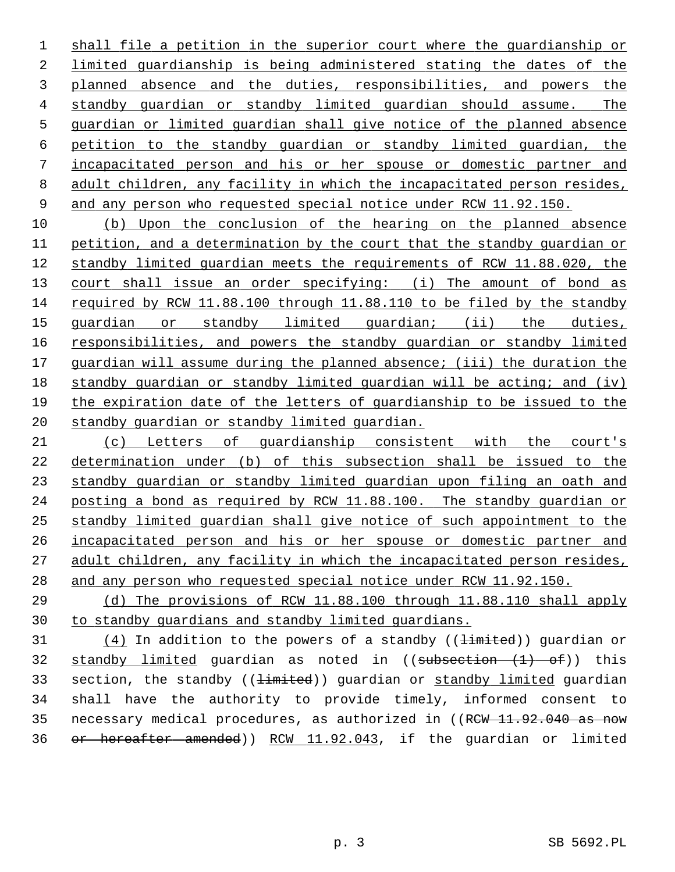shall file a petition in the superior court where the guardianship or limited guardianship is being administered stating the dates of the planned absence and the duties, responsibilities, and powers the standby guardian or standby limited guardian should assume. The guardian or limited guardian shall give notice of the planned absence petition to the standby guardian or standby limited guardian, the incapacitated person and his or her spouse or domestic partner and 8 adult children, any facility in which the incapacitated person resides, and any person who requested special notice under RCW 11.92.150.

 (b) Upon the conclusion of the hearing on the planned absence petition, and a determination by the court that the standby guardian or standby limited guardian meets the requirements of RCW 11.88.020, the 13 court shall issue an order specifying: (i) The amount of bond as required by RCW 11.88.100 through 11.88.110 to be filed by the standby guardian or standby limited guardian; (ii) the duties, responsibilities, and powers the standby guardian or standby limited guardian will assume during the planned absence; (iii) the duration the standby guardian or standby limited guardian will be acting; and (iv) the expiration date of the letters of guardianship to be issued to the standby guardian or standby limited guardian.

 (c) Letters of guardianship consistent with the court's determination under (b) of this subsection shall be issued to the standby guardian or standby limited guardian upon filing an oath and 24 posting a bond as required by RCW 11.88.100. The standby guardian or standby limited guardian shall give notice of such appointment to the incapacitated person and his or her spouse or domestic partner and 27 adult children, any facility in which the incapacitated person resides, and any person who requested special notice under RCW 11.92.150.

 (d) The provisions of RCW 11.88.100 through 11.88.110 shall apply to standby guardians and standby limited guardians.

 $(4)$  In addition to the powers of a standby (( $\pm imited$ )) guardian or 32 standby limited guardian as noted in  $((subsection + 1) - of))$  this 33 section, the standby ((<del>limited</del>)) quardian or standby limited quardian 34 shall have the authority to provide timely, informed consent to 35 necessary medical procedures, as authorized in ((RCW 11.92.040 as now or hereafter amended)) RCW 11.92.043, if the guardian or limited